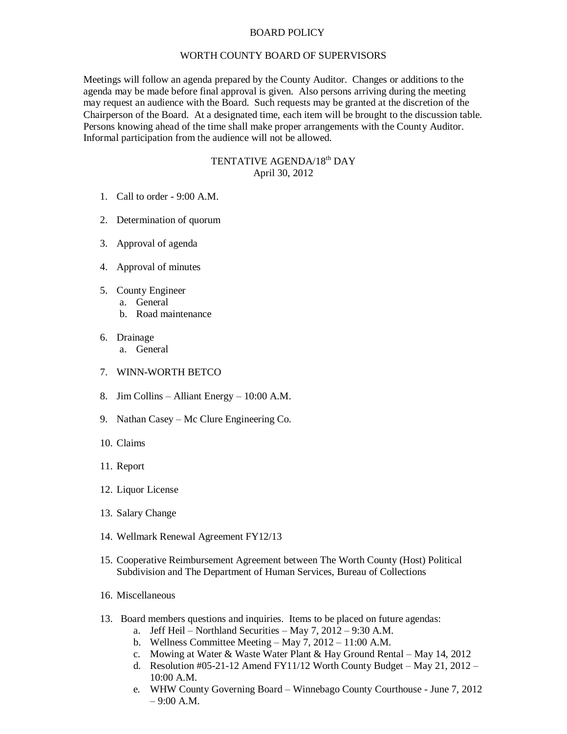## BOARD POLICY

## WORTH COUNTY BOARD OF SUPERVISORS

Meetings will follow an agenda prepared by the County Auditor. Changes or additions to the agenda may be made before final approval is given. Also persons arriving during the meeting may request an audience with the Board. Such requests may be granted at the discretion of the Chairperson of the Board. At a designated time, each item will be brought to the discussion table. Persons knowing ahead of the time shall make proper arrangements with the County Auditor. Informal participation from the audience will not be allowed.

## TENTATIVE AGENDA/18<sup>th</sup> DAY April 30, 2012

- 1. Call to order 9:00 A.M.
- 2. Determination of quorum
- 3. Approval of agenda
- 4. Approval of minutes
- 5. County Engineer
	- a. General
		- b. Road maintenance
- 6. Drainage
	- a. General
- 7. WINN-WORTH BETCO
- 8. Jim Collins Alliant Energy 10:00 A.M.
- 9. Nathan Casey Mc Clure Engineering Co.
- 10. Claims
- 11. Report
- 12. Liquor License
- 13. Salary Change
- 14. Wellmark Renewal Agreement FY12/13
- 15. Cooperative Reimbursement Agreement between The Worth County (Host) Political Subdivision and The Department of Human Services, Bureau of Collections
- 16. Miscellaneous
- 13. Board members questions and inquiries. Items to be placed on future agendas:
	- a. Jeff Heil Northland Securities May 7, 2012 9:30 A.M.
	- b. Wellness Committee Meeting May 7, 2012 11:00 A.M.
	- c. Mowing at Water & Waste Water Plant & Hay Ground Rental May 14, 2012
	- d. Resolution #05-21-12 Amend FY11/12 Worth County Budget May 21, 2012 10:00 A.M.
	- e. WHW County Governing Board Winnebago County Courthouse June 7, 2012  $-9:00 A.M.$